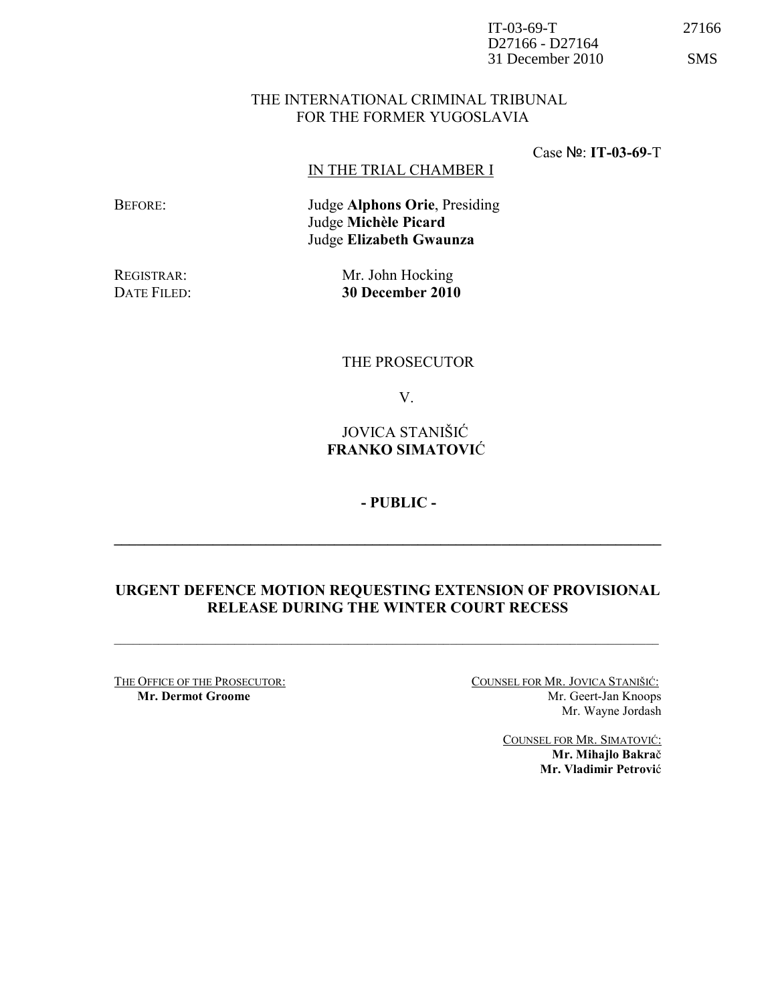| $IT-03-69-T$                            |  |
|-----------------------------------------|--|
| D <sub>27166</sub> - D <sub>27164</sub> |  |
| 31 December 2010                        |  |

#### THE INTERNATIONAL CRIMINAL TRIBUNAL FOR THE FORMER YUGOSLAVIA

Case №: IT-03-69-T

#### IN THE TRIAL CHAMBER I

BEFORE: Judge Alphons Orie, Presiding Judge Michèle Picard Judge Elizabeth Gwaunza

REGISTRAR: Mr. John Hocking DATE FILED: 30 December 2010

# THE PROSECUTOR

V.

# JOVICA STANIŠIĆ FRANKO SIMATOVIĆ

- PUBLIC -

### URGENT DEFENCE MOTION REQUESTING EXTENSION OF PROVISIONAL RELEASE DURING THE WINTER COURT RECESS

 $\mathcal{L}_\mathcal{L} = \{ \mathcal{L}_\mathcal{L} = \{ \mathcal{L}_\mathcal{L} = \{ \mathcal{L}_\mathcal{L} = \{ \mathcal{L}_\mathcal{L} = \{ \mathcal{L}_\mathcal{L} = \{ \mathcal{L}_\mathcal{L} = \{ \mathcal{L}_\mathcal{L} = \{ \mathcal{L}_\mathcal{L} = \{ \mathcal{L}_\mathcal{L} = \{ \mathcal{L}_\mathcal{L} = \{ \mathcal{L}_\mathcal{L} = \{ \mathcal{L}_\mathcal{L} = \{ \mathcal{L}_\mathcal{L} = \{ \mathcal{L}_\mathcal{$ 

\_\_\_\_\_\_\_\_\_\_\_\_\_\_\_\_\_\_\_\_\_\_\_\_\_\_\_\_\_\_\_\_\_\_\_\_\_\_\_\_\_\_\_\_\_\_\_\_\_\_\_\_\_\_\_\_\_\_\_\_\_\_\_\_\_\_\_\_\_\_\_\_

THE OFFICE OF THE PROSECUTOR: COUNSEL FOR MR. JOVICA STANIŠIĆ: Mr. Dermot Groome Mr. Geert-Jan Knoops Mr. Wayne Jordash

> COUNSEL FOR MR. SIMATOVIĆ: Mr. Mihajlo Bakrač Mr. Vladimir Petrović

27166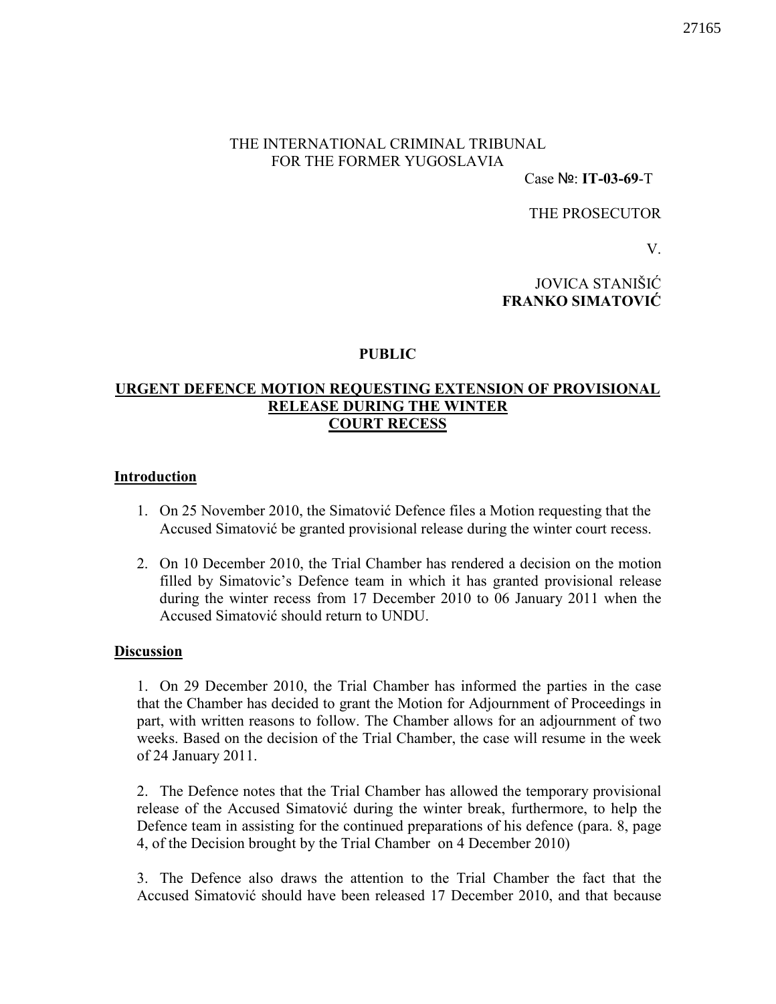# THE INTERNATIONAL CRIMINAL TRIBUNAL FOR THE FORMER YUGOSLAVIA

Case №: IT-03-69-T

THE PROSECUTOR

V.

JOVICA STANIŠIĆ FRANKO SIMATOVIĆ

### PUBLIC

# URGENT DEFENCE MOTION REQUESTING EXTENSION OF PROVISIONAL RELEASE DURING THE WINTER COURT RECESS

#### Introduction

- 1. On 25 November 2010, the Simatović Defence files a Motion requesting that the Accused Simatović be granted provisional release during the winter court recess.
- 2. On 10 December 2010, the Trial Chamber has rendered a decision on the motion filled by Simatovic's Defence team in which it has granted provisional release during the winter recess from 17 December 2010 to 06 January 2011 when the Accused Simatović should return to UNDU.

### **Discussion**

1. On 29 December 2010, the Trial Chamber has informed the parties in the case that the Chamber has decided to grant the Motion for Adjournment of Proceedings in part, with written reasons to follow. The Chamber allows for an adjournment of two weeks. Based on the decision of the Trial Chamber, the case will resume in the week of 24 January 2011.

2. The Defence notes that the Trial Chamber has allowed the temporary provisional release of the Accused Simatović during the winter break, furthermore, to help the Defence team in assisting for the continued preparations of his defence (para. 8, page 4, of the Decision brought by the Trial Chamber on 4 December 2010)

3. The Defence also draws the attention to the Trial Chamber the fact that the Accused Simatović should have been released 17 December 2010, and that because